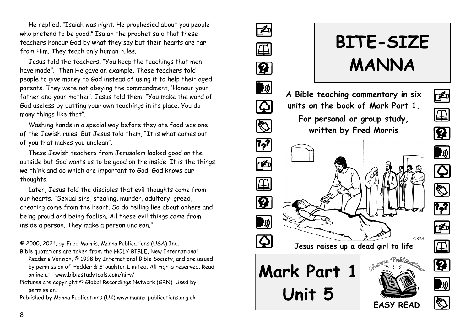He replied, "Isaiah was right. He prophesied about you people who pretend to be good." Isaiah the prophet said that these teachers honour God by what they say but their hearts are far from Him. They teach only human rules.

Jesus told the teachers, "You keep the teachings that men have made". Then He gave an example. These teachers told people to give money to God instead of using it to help their aged parents. They were not obeying the commandment, 'Honour your father and your mother'. Jesus told them, "You make the word of God useless by putting your own teachings in its place. You do many things like that".

Washing hands in a special way before they ate food was one of the Jewish rules. But Jesus told them, "It is what comes out of you that makes you unclean".

These Jewish teachers from Jerusalem looked good on the outside but God wants us to be good on the inside. It is the things we think and do which are important to God. God knows our thoughts.

Later, Jesus told the disciples that evil thoughts come from our hearts. "Sexual sins, stealing, murder, adultery, greed, cheating come from the heart. So do telling lies about others and being proud and being foolish. All these evil things come from inside a person. They make a person unclean."

© 2000, 2021, by Fred Morris, Manna Publications (USA) Inc. Bible quotations are taken from the HOLY BIBLE, New International

- Reader's Version, © 1998 by International Bible Society, and are issued by permission of Hodder & Stoughton Limited. All rights reserved. Read online at: www.biblestudytools.com/nirv/
- Pictures are copyright © Global Recordings Network (GRN). Used by permission.

Published by Manna Publications (UK) www.manna-publications.org.uk



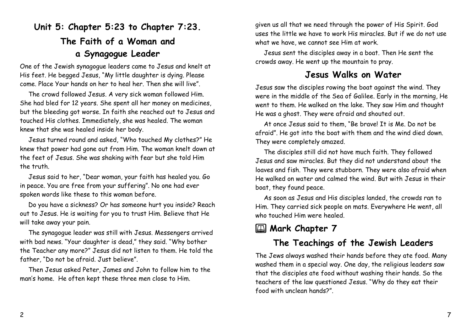# **Unit 5: Chapter 5:23 to Chapter 7:23. The Faith of a Woman and a Synagogue Leader**

One of the Jewish synagogue leaders came to Jesus and knelt at His feet. He begged Jesus, "My little daughter is dying. Please come. Place Your hands on her to heal her. Then she will live".

The crowd followed Jesus. A very sick woman followed Him. She had bled for 12 years. She spent all her money on medicines, but the bleeding got worse. In faith she reached out to Jesus and touched His clothes. Immediately, she was healed. The woman knew that she was healed inside her body.

Jesus turned round and asked, "Who touched My clothes?" He knew that power had gone out from Him. The woman knelt down at the feet of Jesus. She was shaking with fear but she told Him the truth.

Jesus said to her, "Dear woman, your faith has healed you. Go in peace. You are free from your suffering". No one had ever spoken words like these to this woman before.

Do you have a sickness? Or has someone hurt you inside? Reach out to Jesus. He is waiting for you to trust Him. Believe that He will take away your pain.

The synagogue leader was still with Jesus. Messengers arrived with bad news. "Your daughter is dead," they said. "Why bother the Teacher any more?" Jesus did not listen to them. He told the father, "Do not be afraid. Just believe".

Then Jesus asked Peter, James and John to follow him to the man's home. He often kept these three men close to Him.

given us all that we need through the power of His Spirit. God uses the little we have to work His miracles. But if we do not use what we have, we cannot see Him at work.

Jesus sent the disciples away in a boat. Then He sent the crowds away. He went up the mountain to pray.

#### **Jesus Walks on Water**

Jesus saw the disciples rowing the boat against the wind. They were in the middle of the Sea of Galilee. Early in the morning, He went to them. He walked on the lake. They saw Him and thought He was a ghost. They were afraid and shouted out.

At once Jesus said to them, "Be brave! It is Me. Do not be afraid". He got into the boat with them and the wind died down. They were completely amazed.

The disciples still did not have much faith. They followed Jesus and saw miracles. But they did not understand about the loaves and fish. They were stubborn. They were also afraid when He walked on water and calmed the wind. But with Jesus in their boat, they found peace.

As soon as Jesus and His disciples landed, the crowds ran to Him. They carried sick people on mats. Everywhere He went, all who touched Him were healed.

## **E Mark Chapter 7**

## **The Teachings of the Jewish Leaders**

The Jews always washed their hands before they ate food. Many washed them in a special way. One day, the religious leaders saw that the disciples ate food without washing their hands. So the teachers of the law questioned Jesus. "Why do they eat their food with unclean hands?".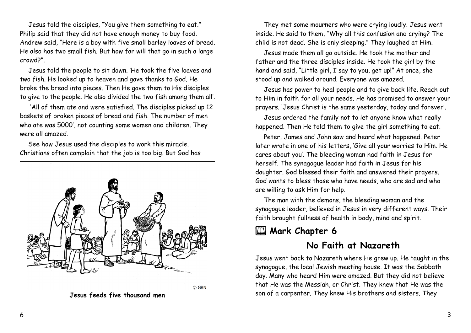Jesus told the disciples, "You give them something to eat." Philip said that they did not have enough money to buy food. Andrew said, "Here is a boy with five small barley loaves of bread. He also has two small fish. But how far will that go in such a large crowd?".

Jesus told the people to sit down. 'He took the five loaves and two fish. He looked up to heaven and gave thanks to God. He broke the bread into pieces. Then He gave them to His disciples to give to the people. He also divided the two fish among them all'.

'All of them ate and were satisfied. The disciples picked up 12 baskets of broken pieces of bread and fish. The number of men who ate was 5000', not counting some women and children. They were all amazed.

See how Jesus used the disciples to work this miracle. Christians often complain that the job is too big. But God has



They met some mourners who were crying loudly. Jesus went inside. He said to them, "Why all this confusion and crying? The child is not dead. She is only sleeping." They laughed at Him.

Jesus made them all go outside. He took the mother and father and the three disciples inside. He took the girl by the hand and said, "Little girl, I say to you, get up!" At once, she stood up and walked around. Everyone was amazed.

Jesus has power to heal people and to give back life. Reach out to Him in faith for all your needs. He has promised to answer your prayers. 'Jesus Christ is the same yesterday, today and forever'.

Jesus ordered the family not to let anyone know what really happened. Then He told them to give the girl something to eat.

Peter, James and John saw and heard what happened. Peter later wrote in one of his letters, 'Give all your worries to Him. He cares about you'. The bleeding woman had faith in Jesus for herself. The synagogue leader had faith in Jesus for his daughter. God blessed their faith and answered their prayers. God wants to bless those who have needs, who are sad and who are willing to ask Him for help.

The man with the demons, the bleeding woman and the synagogue leader, believed in Jesus in very different ways. Their faith brought fullness of health in body, mind and spirit.

## **EL Mark Chapter 6**

#### **No Faith at Nazareth**

Jesus went back to Nazareth where He grew up. He taught in the synagogue, the local Jewish meeting house. It was the Sabbath day. Many who heard Him were amazed. But they did not believe that He was the Messiah, or Christ. They knew that He was the son of a carpenter. They knew His brothers and sisters. They